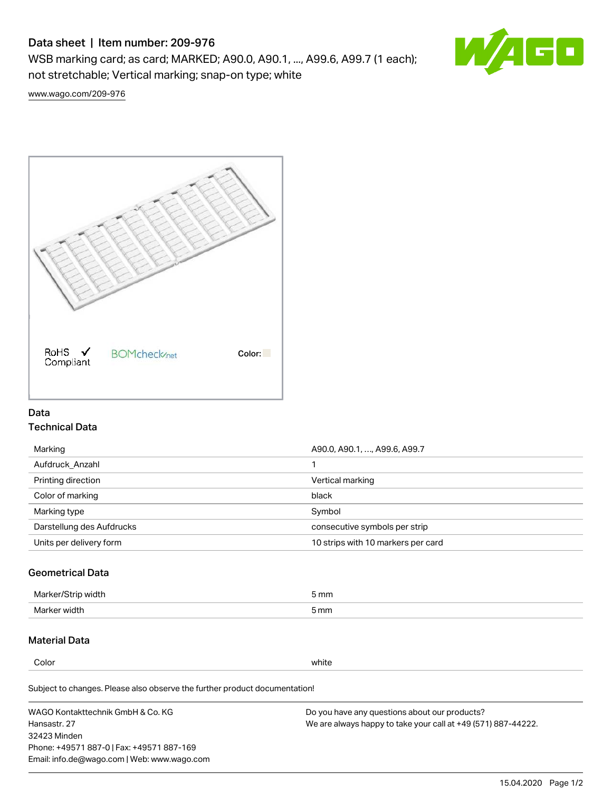# Data sheet | Item number: 209-976

WSB marking card; as card; MARKED; A90.0, A90.1, ..., A99.6, A99.7 (1 each); not stretchable; Vertical marking; snap-on type; white



[www.wago.com/209-976](http://www.wago.com/209-976)



### Data Technical Data

| Marking                   | A90.0, A90.1, , A99.6, A99.7       |
|---------------------------|------------------------------------|
| Aufdruck Anzahl           |                                    |
| Printing direction        | Vertical marking                   |
| Color of marking          | black                              |
| Marking type              | Symbol                             |
| Darstellung des Aufdrucks | consecutive symbols per strip      |
| Units per delivery form   | 10 strips with 10 markers per card |

## Geometrical Data

| طلقاء ئ<br><b>Marker</b><br>widtr | ັກmm |
|-----------------------------------|------|
| Marker width                      | 5 mm |

### Material Data

Color white

Subject to changes. Please also observe the further product documentation!

WAGO Kontakttechnik GmbH & Co. KG Hansastr. 27 32423 Minden Phone: +49571 887-0 | Fax: +49571 887-169 Email: info.de@wago.com | Web: www.wago.com Do you have any questions about our products? We are always happy to take your call at +49 (571) 887-44222.